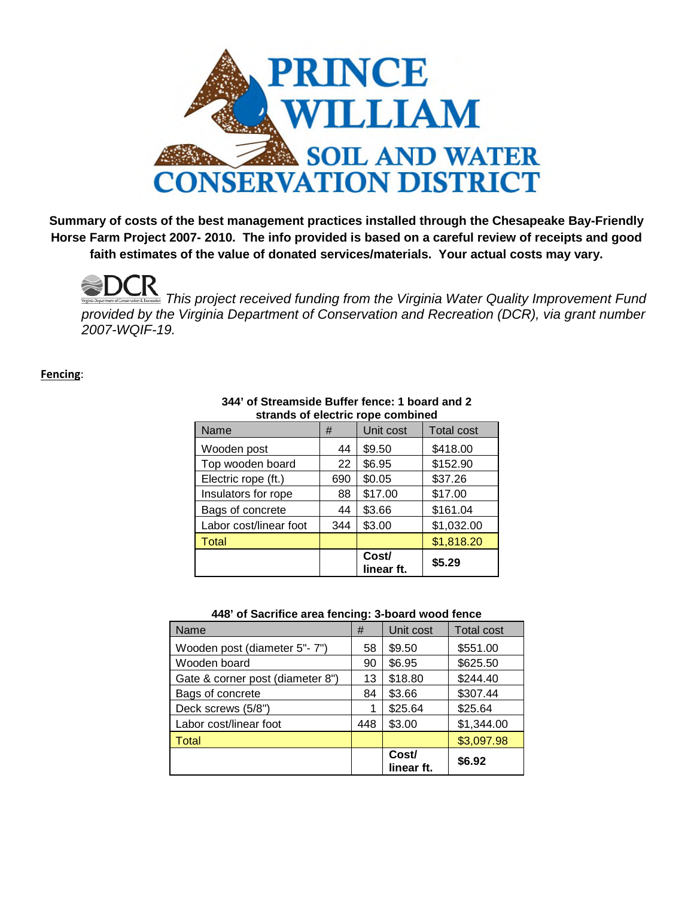

**Summary of costs of the best management practices installed through the Chesapeake Bay-Friendly Horse Farm Project 2007- 2010. The info provided is based on a careful review of receipts and good faith estimates of the value of donated services/materials. Your actual costs may vary.**

*This project received funding from the Virginia Water Quality Improvement Fund provided by the Virginia Department of Conservation and Recreation (DCR), via grant number 2007-WQIF-19.*

**Fencing**:

| stratius of electric rope complied |     |                     |                   |  |  |  |
|------------------------------------|-----|---------------------|-------------------|--|--|--|
| Name                               | #   | Unit cost           | <b>Total cost</b> |  |  |  |
| Wooden post                        | 44  | \$9.50              | \$418.00          |  |  |  |
| Top wooden board                   | 22  | \$6.95              | \$152.90          |  |  |  |
| Electric rope (ft.)                | 690 | \$0.05              | \$37.26           |  |  |  |
| Insulators for rope                | 88  | \$17.00             | \$17.00           |  |  |  |
| Bags of concrete                   | 44  | \$3.66              | \$161.04          |  |  |  |
| Labor cost/linear foot             | 344 | \$3.00              | \$1,032.00        |  |  |  |
| <b>Total</b>                       |     |                     | \$1,818.20        |  |  |  |
|                                    |     | Cost/<br>linear ft. | \$5.29            |  |  |  |

## **344' of Streamside Buffer fence: 1 board and 2 strands of electric rope combined**

### **448' of Sacrifice area fencing: 3-board wood fence**

| Name                             | #   | Unit cost           | <b>Total cost</b> |
|----------------------------------|-----|---------------------|-------------------|
| Wooden post (diameter 5"-7")     | 58  | \$9.50              | \$551.00          |
| Wooden board                     | 90  | \$6.95              | \$625.50          |
| Gate & corner post (diameter 8") | 13  | \$18.80             | \$244.40          |
| Bags of concrete                 | 84  | \$3.66              | \$307.44          |
| Deck screws (5/8")               |     | \$25.64             | \$25.64           |
| Labor cost/linear foot           | 448 | \$3.00              | \$1,344.00        |
| Total                            |     |                     | \$3,097.98        |
|                                  |     | Cost/<br>linear ft. | \$6.92            |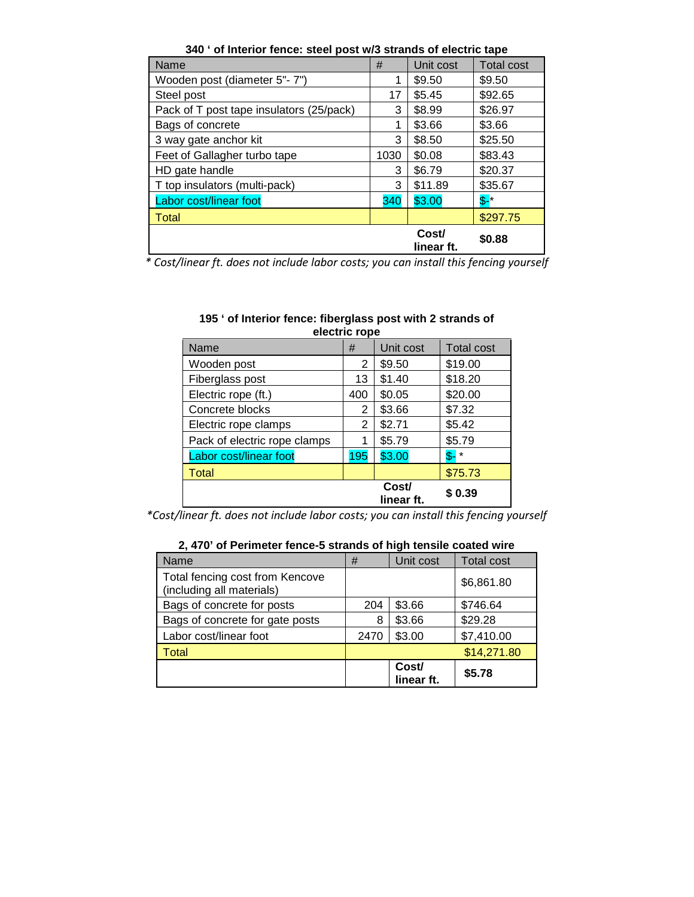| Name                                     | #    | Unit cost           | <b>Total cost</b> |
|------------------------------------------|------|---------------------|-------------------|
| Wooden post (diameter 5"- 7")            |      | \$9.50              | \$9.50            |
| Steel post                               | 17   | \$5.45              | \$92.65           |
| Pack of T post tape insulators (25/pack) | 3    | \$8.99              | \$26.97           |
| Bags of concrete                         |      | \$3.66              | \$3.66            |
| 3 way gate anchor kit                    | 3    | \$8.50              | \$25.50           |
| Feet of Gallagher turbo tape             | 1030 | \$0.08              | \$83.43           |
| HD gate handle                           | 3    | \$6.79              | \$20.37           |
| T top insulators (multi-pack)            | 3    | \$11.89             | \$35.67           |
| Labor cost/linear foot                   | 340  | \$3.00              | $S^{-*}$          |
| Total                                    |      |                     | \$297.75          |
|                                          |      | Cost/<br>linear ft. | \$0.88            |

**340 ' of Interior fence: steel post w/3 strands of electric tape**

*\* Cost/linear ft. does not include labor costs; you can install this fencing yourself*

| 195 ' of Interior fence: fiberglass post with 2 strands of<br>electric rope |   |           |                              |  |  |
|-----------------------------------------------------------------------------|---|-----------|------------------------------|--|--|
| Name                                                                        | # | Unit cost | Total cost                   |  |  |
| المصدر مرمامه والملا                                                        |   |           | $\mathbf{A} \cap \mathbf{A}$ |  |  |

| Name                         | #   | Unit cost           | I otal cost |
|------------------------------|-----|---------------------|-------------|
| Wooden post                  | 2   | \$9.50              | \$19.00     |
| Fiberglass post              | 13  | \$1.40              | \$18.20     |
| Electric rope (ft.)          | 400 | \$0.05              | \$20.00     |
| Concrete blocks              | 2   | \$3.66              | \$7.32      |
| Electric rope clamps         | 2   | \$2.71              | \$5.42      |
| Pack of electric rope clamps |     | \$5.79              | \$5.79      |
| Labor cost/linear foot       | 195 | \$3.00              | $S-$ *      |
| <b>Total</b>                 |     |                     | \$75.73     |
|                              |     | Cost/<br>linear ft. | \$0.39      |

*\*Cost/linear ft. does not include labor costs; you can install this fencing yourself*

### **2, 470' of Perimeter fence-5 strands of high tensile coated wire**

| Name                                                         | #    | Unit cost           | <b>Total cost</b> |
|--------------------------------------------------------------|------|---------------------|-------------------|
| Total fencing cost from Kencove<br>(including all materials) |      |                     | \$6,861.80        |
| Bags of concrete for posts                                   | 204  | \$3.66              | \$746.64          |
| Bags of concrete for gate posts                              | 8    | \$3.66              | \$29.28           |
| Labor cost/linear foot                                       | 2470 | \$3.00              | \$7,410.00        |
| Total                                                        |      |                     | \$14,271.80       |
|                                                              |      | Cost/<br>linear ft. | \$5.78            |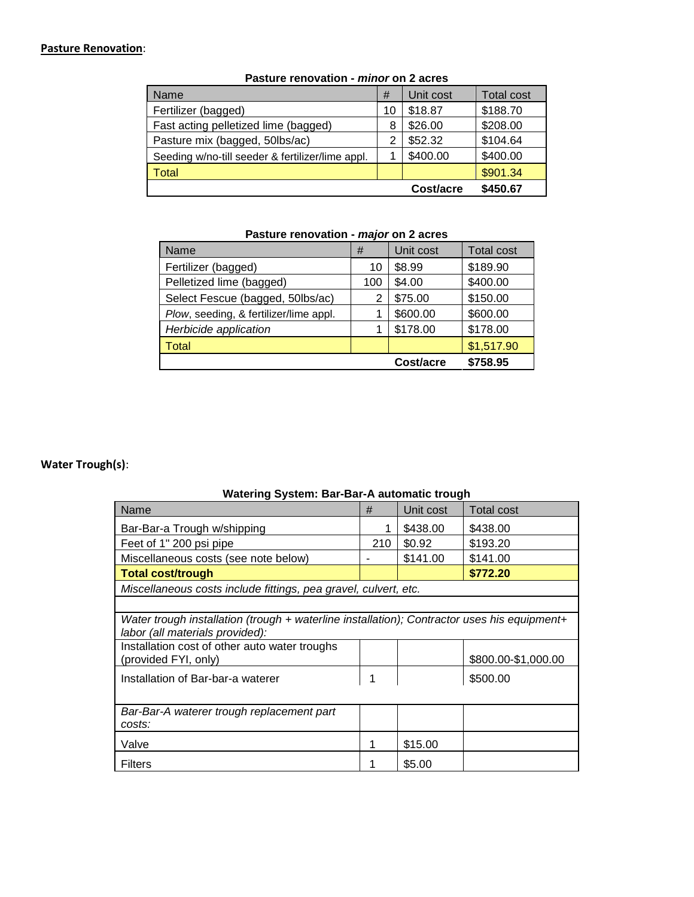## **Pasture Renovation**:

| Name                                             | #  | Unit cost | <b>Total cost</b> |
|--------------------------------------------------|----|-----------|-------------------|
| Fertilizer (bagged)                              | 10 | \$18.87   | \$188.70          |
| Fast acting pelletized lime (bagged)             | 8  | \$26.00   | \$208.00          |
| Pasture mix (bagged, 50lbs/ac)                   | 2  | \$52.32   | \$104.64          |
| Seeding w/no-till seeder & fertilizer/lime appl. |    | \$400.00  | \$400.00          |
| <b>Total</b>                                     |    |           | \$901.34          |
|                                                  |    | Cost/acre | \$450.67          |

### **Pasture renovation -** *minor* **on 2 acres**

## **Pasture renovation -** *major* **on 2 acres**

| Name                                   | #   | Unit cost | <b>Total cost</b> |
|----------------------------------------|-----|-----------|-------------------|
| Fertilizer (bagged)                    | 10  | \$8.99    | \$189.90          |
| Pelletized lime (bagged)               | 100 | \$4.00    | \$400.00          |
| Select Fescue (bagged, 50lbs/ac)       | 2   | \$75.00   | \$150.00          |
| Plow, seeding, & fertilizer/lime appl. |     | \$600.00  | \$600.00          |
| Herbicide application                  |     | \$178.00  | \$178.00          |
| Total                                  |     |           | \$1,517.90        |
|                                        |     | Cost/acre | \$758.95          |

## **Water Trough(s)**:

## **Watering System: Bar-Bar-A automatic trough**

| Name                                                                                                                           | #   | Unit cost | Total cost          |
|--------------------------------------------------------------------------------------------------------------------------------|-----|-----------|---------------------|
| Bar-Bar-a Trough w/shipping                                                                                                    | 1   | \$438.00  | \$438.00            |
| Feet of 1" 200 psi pipe                                                                                                        | 210 | \$0.92    | \$193.20            |
| Miscellaneous costs (see note below)                                                                                           |     | \$141.00  | \$141.00            |
| <b>Total cost/trough</b>                                                                                                       |     |           | \$772.20            |
| Miscellaneous costs include fittings, pea gravel, culvert, etc.                                                                |     |           |                     |
|                                                                                                                                |     |           |                     |
| Water trough installation (trough + waterline installation); Contractor uses his equipment+<br>labor (all materials provided): |     |           |                     |
| Installation cost of other auto water troughs<br>(provided FYI, only)                                                          |     |           | \$800.00-\$1,000.00 |
| Installation of Bar-bar-a waterer                                                                                              | 1   |           | \$500.00            |
| Bar-Bar-A waterer trough replacement part<br>costs:                                                                            |     |           |                     |
| Valve                                                                                                                          | 1   | \$15.00   |                     |
| <b>Filters</b>                                                                                                                 |     | \$5.00    |                     |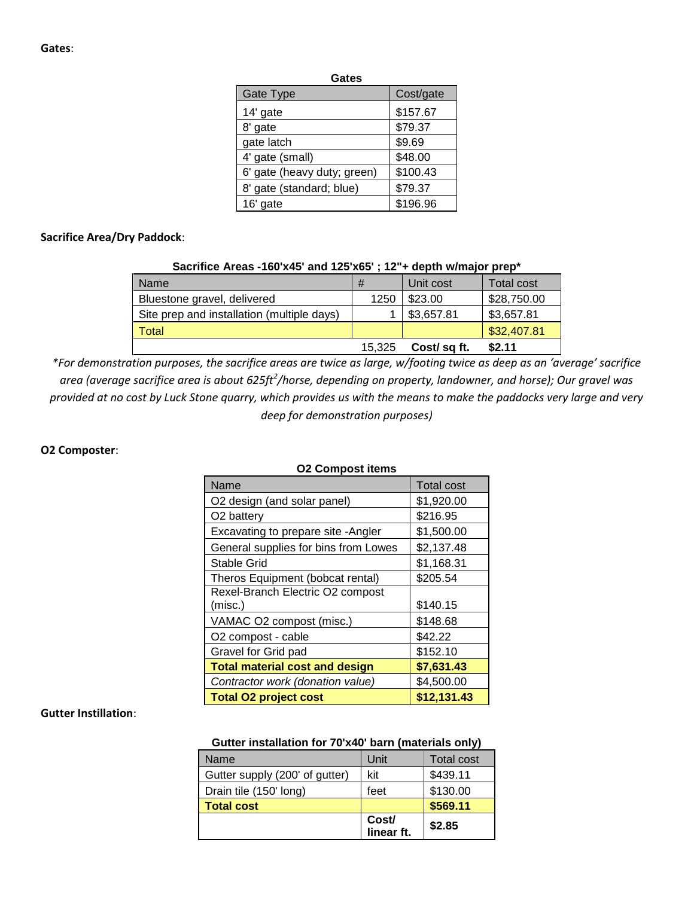| ۰.<br>×<br>M.<br>۰.<br>×<br>۰, |
|--------------------------------|
|--------------------------------|

| Gate Type                   | Cost/gate |
|-----------------------------|-----------|
| 14' gate                    | \$157.67  |
| 8' gate                     | \$79.37   |
| gate latch                  | \$9.69    |
| 4' gate (small)             | \$48.00   |
| 6' gate (heavy duty; green) | \$100.43  |
| 8' gate (standard; blue)    | \$79.37   |
| 16' gate                    | \$196.96  |

#### **Sacrifice Area/Dry Paddock**:

#### **Sacrifice Areas -160'x45' and 125'x65' ; 12"+ depth w/major prep\***

| <b>Name</b>                                | #      | Unit cost   | Total cost  |
|--------------------------------------------|--------|-------------|-------------|
| Bluestone gravel, delivered                | 1250   | \$23.00     | \$28,750.00 |
| Site prep and installation (multiple days) |        | \$3,657.81  | \$3,657.81  |
| Total                                      |        |             | \$32,407.81 |
|                                            | 15.325 | Cost/sq ft. | \$2.11      |

*\*For demonstration purposes, the sacrifice areas are twice as large, w/footing twice as deep as an 'average' sacrifice area (average sacrifice area is about 625ft<sup>2</sup> /horse, depending on property, landowner, and horse); Our gravel was provided at no cost by Luck Stone quarry, which provides us with the means to make the paddocks very large and very deep for demonstration purposes)*

#### **O2 Composter**:

| Name                                  | <b>Total cost</b> |
|---------------------------------------|-------------------|
| O2 design (and solar panel)           | \$1,920.00        |
| O <sub>2</sub> battery                | \$216.95          |
| Excavating to prepare site - Angler   | \$1,500.00        |
| General supplies for bins from Lowes  | \$2,137.48        |
| Stable Grid                           | \$1,168.31        |
| Theros Equipment (bobcat rental)      | \$205.54          |
| Rexel-Branch Electric O2 compost      |                   |
| (misc.)                               | \$140.15          |
| VAMAC O2 compost (misc.)              | \$148.68          |
| O2 compost - cable                    | \$42.22           |
| Gravel for Grid pad                   | \$152.10          |
| <b>Total material cost and design</b> | \$7,631.43        |
| Contractor work (donation value)      | \$4,500.00        |
| <b>Total O2 project cost</b>          | \$12,131.43       |

#### **O2 Compost items**

#### **Gutter Instillation**:

#### **Gutter installation for 70'x40' barn (materials only)**

| Name                           | Unit                | <b>Total cost</b> |
|--------------------------------|---------------------|-------------------|
| Gutter supply (200' of gutter) | kit                 | \$439.11          |
| Drain tile (150' long)         | feet                | \$130.00          |
| <b>Total cost</b>              |                     | \$569.11          |
|                                | Cost/<br>linear ft. | \$2.85            |